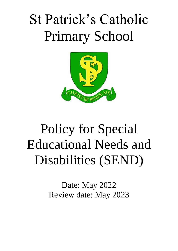# St Patrick's Catholic Primary School



## Policy for Special Educational Needs and Disabilities (SEND)

Date: May 2022 Review date: May 2023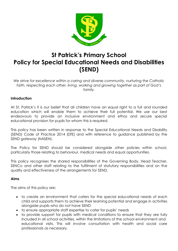

### **St Patrick's Primary School Policy for Special Educational Needs and Disabilities (SEND)**

*We strive for excellence within a caring and diverse community, nurturing the Catholic faith, respecting each other, living, working and growing together as part of God's family.*

#### **Introduction**

At St. Patrick's it is our belief that all children have an equal right to a full and rounded education which will enable them to achieve their full potential. We use our best endeavours to provide an inclusive environment and ethos and secure special educational provision for pupils for whom this is required.

This policy has been written in response to the Special Educational Needs and Disability (SEND) Code of Practice 2014 (DfE) and with reference to guidance published by the SEND gateway (NASEN).

The Policy for SEND should be considered alongside other policies within school, particularly those relating to behaviour, medical needs and equal opportunities.

This policy recognises the shared responsibilities of the Governing Body, Head Teacher, SENCo and other staff relating to the fulfilment of statutory responsibilities and on the quality and effectiveness of the arrangements for SEND.

#### **Aims**

The aims of this policy are:

- to create an environment that caters for the special educational needs of each child and supports them to achieve their learning potential and engage in activities alongside pupils who do not have SEND
- to ensure appropriate staff expertise to cater for pupils' needs
- to provide support for pupils with medical conditions to ensure that they are fully included in all school activities, within the limitations of the school environment and educational visits. This will involve consultation with health and social care professionals as necessary.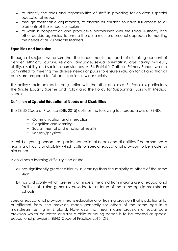- to identify the roles and responsibilities of staff in providing for children's special educational needs
- through reasonable adjustments, to enable all children to have full access to all elements of the school curriculum
- to work in cooperation and productive partnerships with the Local Authority and other outside agencies, to ensure there is a multi-professional approach to meeting the needs of all vulnerable learners

#### **Equalities and Inclusion**

Through all subjects we ensure that the school meets the needs of all, taking account of gender, ethnicity, culture, religion, language, sexual orientation, age, family makeup, ability, disability and social circumstances. At St. Patrick's Catholic Primary School we are committed to meeting the diverse needs of pupils to ensure inclusion for all and that all pupils are prepared for full participation in wider society.

This policy should be read in conjunction with the other policies at St. Patrick's, particularly the Single Equality Sceme and Policy and the Policy for Supporting Pupils with Medical Needs.

#### **Definition of Special Educational Needs and Disabilities**

The SEND Code of Practice (DfE, 2015) outlines the following four broad areas of SEND.

- Communication and interaction
- Cognition and learning
- Social, mental and emotional health
- Sensory/physical

A child or young person has special educational needs and disabilities if he or she has a learning difficulty or disability which calls for special educational provision to be made for him or her.

A child has a learning difficulty if he or she:

- a) has significantly greater difficulty in learning than the majority of others of the same age
- b) has a disability which prevents or hinders the child from making use of educational facilities of a kind generally provided for children of the same age in mainstream schools

Special educational provision means educational or training provision that is additional to, or different from, the provision made generally for others of the same age in a mainstream setting in England. Note also that health care provision or social care provision which educates or trains a child or young person is to be treated as special educational provision. (SEND Code of Practice 2015, DfE)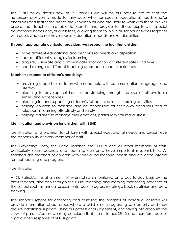This SEND policy details how at St. Patrick's we will do our best to ensure that the necessary provision is made for any pupil who has special educational needs and/or disabilities and that those needs are known to all who are likely to work with them. We will ensure that teachers are able to identify and provide for those pupils with special educational needs and/or disabilities, allowing them to join in all school activities together with pupils who do not have special educational needs and/or disabilities.

#### **Through appropriate curricular provision, we respect the fact that children:**

- have different educational and behavioural needs and aspirations
- require different strategies for learning
- acquire, assimilate and communicate information at different rates and levels
- need a range of different teaching approaches and experiences

#### **Teachers respond to children's needs by:**

- providing support for children who need help with communication, language and **literacy**
- planning to develop children's understanding through the use of all available senses and experiences
- planning for and supporting children's full participation in learning activities
- helping children to manage and be responsible for their own behaviour and to take part in learning effectively and safely
- helping children to manage their emotions, particularly trauma or stress

#### **Identification and provision for children with SEND**

Identification and provision for children with special educational needs and disabilities is the responsibility of every member of staff.

The Governing Body, the Head Teacher, the SENCo and all other members of staff, particularly class teachers and teaching assistants, have important responsibilities. All teachers are teachers of children with special educational needs and are accountable for their learning and progress.

Identification:

At St. Patrick's the attainment of every child is monitored on a day-to-day basis by the class teacher, and also through the usual teaching and learning monitoring practices of the school such as annual assessments, pupil progress meetings, book scrutinies and data tracking.

The school's system for observing and assessing the progress of individual children will provide information about areas where a child is not progressing satisfactorily and may require additional support. Using our professional judgement, and taking into account the views of parents/carers we may conclude that the child has SEND and therefore requires a graduated response of SEN support.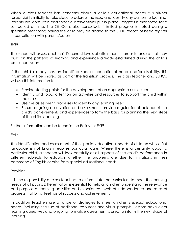When a class teacher has concerns about a child's educational needs it is his/her responsibility initially to take steps to address the issue and identify any barriers to learning. Parents are consulted and specific interventions put in place. Progress is monitored for a set period of time. The SENCo is also consulted. If limited progress is noted during a specified monitoring period the child may be added to the SEND record of need register in consultation with parents/carers.

#### EYFS:

The school will assess each child's current levels of attainment in order to ensure that they build on the patterns of learning and experience already established during the child's pre-school years.

If the child already has an identified special educational need and/or disablilty, this information will be shared as part of the transition process. The class teacher and SENCo will use this information to:

- Provide starting points for the development of an appropriate curriculum
- Identify and focus attention on activities and resources to support the child within the class
- Use the assessment processes to identify any learning needs
- Ensure ongoing observation and assessments provide regular feedback about the child's achievements and experiences to form the basis for planning the next steps of the child's learning

Further information can be found in the Policy for EYFS.

#### EAL:

The identification and assessment of the special educational needs of children whose first language is not English requires particular care. Where there is uncertainty about a particular child, a teacher will look carefully at all aspects of the child's performance in different subjects to establish whether the problems are due to limitations in their command of English or arise from special educational needs.

#### Provision:

It is the responsibility of class teachers to differentiate the curriculum to meet the learning needs of all pupils. Differentiation is essential to help all children understand the relevance and purpose of learning activities and experience levels of independence and rates of progress that bring feelings of success and achievement.

In addition teachers use a range of strategies to meet children's special educational needs, including the use of additional resources and visual prompts. Lessons have clear learning objectives and ongoing formative assessment is used to inform the next stage of learning.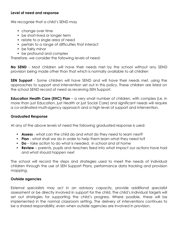#### **Level of need and response**

We recognise that a child's SEND may

- change over time
- be short-lived or longer term
- relate to a single area of need
- pertain to a range of difficulties that interact
- be fairly minor
- be profound and complex

Therefore, we consider the following levels of need:

**No SEND** - Most children will have their needs met by the school without any SEND provision being made other than that which is normally available to all children

**SEN Support** - Some children will have SEND and will have their needs met, using the approaches to support and intervention set out in this policy. These children are listed on the school SEND record of need as receiving SEN Support.

**Education Health Care (EHC) Plan** – a very small number of children, with complex (i.e. in more than just Education, just Health or just Social Care) and significant needs will require a co-ordinated multi-agency approach and a high level of support and intervention.

#### **Graduated Response**

At any of the above levels of need the following graduated response is used:

- **Assess** what can the child do and what do they need to learn next?
- **Plan** what shall we do in order to help them learn what they need to?
- **Do** take action to do what is needed, in school and at home
- **Review** parents, pupils and teachers feed into what impact our actions have had and what should happen next

The school will record the steps and strategies used to meet the needs of individual children through the use of SEN Support Plans, performance data tracking and provision mapping.

#### **Outside agencies**

External specialists may act in an advisory capacity, provide additional specialist assessment or be directly involved in support for the child. The child's individual targets will set out strategies for supporting the child's progress. Where possible, these will be implemented in the normal classroom setting. The delivery of interventions continues to be a shared responsibility, even when outside agencies are involved in provision.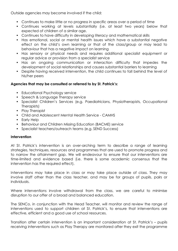Outside agencies may become involved if the child:

- Continues to make little or no progress in specific areas over a period of time
- Continues working at levels substantially (i.e. at least two years) below that expected of children of a similar age.
- Continues to have difficulty in developing literacy and mathematical skills
- Has emotional, social or mental health issues which have a substantial negative effect on the child's own learning or that of the class/group or may lead to behaviour that has a negative impact on learning
- Has sensory or physical needs and requires additional specialist equipment or regular advice or provision from a specialist service
- Has an ongoing communication or interaction difficulty that impedes the development of social relationships and causes substantial barriers to learning
- Despite having received intervention, the child continues to fall behind the level of his/her peers

#### **Agencies that may be consulted or referred to by St. Patrick's:**

- Educational Psychology service
- Speech & Language Therapy service
- Specialist Children's Services (e.g. Paediatricians, Physiotherapists, Occupational Therapists)
- Play Therapist
- Child and Adolescent Mental Health Service CAMHS
- Early Help
- Behaviour and Children Missing Education (BACME) service
- Specialist teachers/outreach teams (e.g. SEND Success)

#### **Intervention**

At St. Patrick's intervention is an over-arching term to describe a range of learning strategies, techniques, resources and programmes that are used to promote progress and to narrow the attainment gap. We will endeavour to ensure that our interventions are time-limited and evidence based (i.e. there is some academic consensus that the intervention has the required effect).

Interventions may take place in class or may take place outside of class. They may involve staff other than the class teacher, and may be for groups of pupils, pairs or individuals.

Where interventions involve withdrawal from the class, we are careful to minimise disruption to our offer of a broad and balanced education.

The SENCo, in conjunction with the Head Teacher, will monitor and review the range of interventions used to support children at St. Patrick's, to ensure that interventions are effective, efficient and a good use of school resources.

Transition after certain intervention is an important consideration at St. Patrick's – pupils receiving interventions such as Play Therapy are monitored after they exit the programme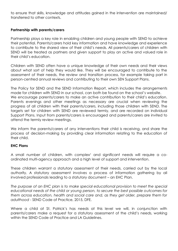to ensure that skills, knowledge and attitudes gained in the intervention are maintained/ transferred to other contexts.

#### **Partnership with parents/carers**

Partnership plays a key role in enabling children and young people with SEND to achieve their potential. Parents/carers hold key information and have knowledge and experience to contribute to the shared view of their child's needs. All parents/carers of children with SEND will be treated as partners and given support to play an active and valued role in their child's education.

Children with SEND often have a unique knowledge of their own needs and their views about what sort of help they would like. They will be encouraged to contribute to the assessment of their needs, the review and transition process, for example taking part in person-centred annual reviews and contributing to their own SEN Support Plans.

The Policy for SEND and the SEND Information Report, which includes the arrangements made for children with SEND in our school, can both be found on the school's website. We encourage parents/carers to make an active contribution to their child's education. Parents evenings and other meetings as necessary are crucial when reviewing the progress of all children with their parents/carers, including those children with SEND. The targets set for children with SEND are reviewed termly, and are recorded on individual Support Plans. Input from parents/carers is encouraged and parents/carers are invited to attend the termly review meetings.

We inform the parents/carers of any interventions their child is receiving, and share the process of decision-making by providing clear information relating to the education of their child.

#### **EHC Plans**

A small number of children, with complex<sup>1</sup> and significant needs will require a coordinated multi-agency approach and a high level of support and intervention.

These children warrant a statutory assessment of their needs, carried out by the local authority. A statutory assessment involves a process of information gathering by all involved professionals leading to a statutory document – an EHC Plan.

*The purpose of an EHC plan is to make special educational provision to meet the special educational needs of the child or young person, to secure the best possible outcomes for them across education, health and social care and, as they get older, prepare them for adulthood* - SEND Code of Practice, 2015, DFE.

Where a child at St. Patrick's has needs at this level we will, in conjunction with parents/carers make a request for a statutory assessment of the child's needs, working within the SEND Code of Practice and LA Guidelines.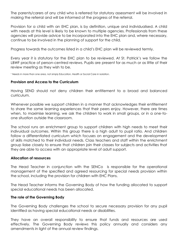The parents/carers of any child who is referred for statutory assessment will be involved in making the referral and will be informed of the progress of the referral.

Provision for a child with an EHC plan, is by definition, unique and individualised. A child with needs at this level is likely to be known to multiple agencies. Professionals from these agencies will provide advice to be incorporated into the EHC plan and, where necessary, continue to be involved in the planning of support for the child.

Progress towards the outcomes listed in a child's EHC plan will be reviewed termly.

Every year it is statutory for the EHC plan to be reviewed. At St. Patrick's we follow the LBWF practice of person-centred reviews. Pupils are present for as much or as little of their review meeting as they wish to be.

<sup>1</sup> Needs in more than one area, not simply Education, Health or Social Care in isolation.

#### **Provision and Access to the Curriculum**

Having SEND should not deny children their entitlement to a broad and balanced curriculum.

Whenever possible we support children in a manner that acknowledges their entitlement to share the same learning experiences that their peers enjoy. However, there are times when, to maximise learning, we ask the children to work in small groups, or in a one-toone situation outside the classroom.

The school runs an enrichment group to support children with high needs to meet their indivuidual outcomes. Within this group there is a high adult to pupil ratio. And children follow a differentiated curriculum which focuses on engagement and the development of skills matched to their individual needs. Class teachers and staff within the enrichment group liaise closely to ensure that children join their classes for subjects and activities that they are able to access with an appropriate level of adult support.

#### **Allocation of resources**

The Head Teacher in conjunction with the SENCo is responsible for the operational management of the specified and agreed resourcing for special needs provision within the school, including the provision for children with EHC Plans.

The Head Teacher informs the Governing Body of how the funding allocated to support special educational needs has been allocated.

#### **The role of the Governing Body**

The Governing Body challenges the school to secure necessary provision for any pupil identified as having special educational needs or disabilities.

They have an overall responsibility to ensure that funds and resources are used effectively. The Governing Body reviews this policy annually and considers any amendments in light of the annual review findings.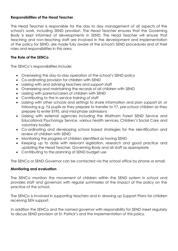#### **Responsibilities of the Head Teacher**

The Head Teacher is responsible for the day to day management of all aspects of the school's work, including SEND provision. The Head Teacher ensures that the Governing Body is kept informed of developments in SEND. The Head Teacher will ensure that teaching and non-teaching staff are involved in the development and implementation of the policy for SEND, are made fully aware of the school's SEND procedures and of their roles and responsibilities in this area.

#### **The Role of the SENCo**

The SENCo's responsibilities include:

- Overseeing the day-to-day operation of the school's SEND policy
- Co-ordinating provision for children with SEND
- Liaising with and advising teachers and support staff
- Overseeing and maintaining the records of all children with SEND
- Liaising with parents/carers of children with SEND
- Contributing to the in-service training of staff
- Liaising with other schools and settings to share information and plan support at, or following e.g. Y6 pupils as they prepare to transfer to Y7, pre-school children as they prepare to enter EYFS, and mid-phase admissions
- Liaising with external agencies including the Waltham Forest SEND Service and Educational Psychology Service, various health services, Children's Social Care and voluntary bodies
- Co-ordinating and developing school based strategies for the identification and review of children with SEND
- Monitoring the progress of children identified as having SEND
- Keeping up to date with relevant legislation, research and good practice and updating the Head Teacher, Governing Body and all staff as appropriate
- Contributing to the planning of SEND budget use

The SENCo or SEND Governor can be contacted via the school office by phone or email.

#### **Monitoring and evaluation**

The SENCo monitors the movement of children within the SEND system in school and provides staff and governors with regular summaries of the impact of the policy on the practice of the school.

The SENCo is involved in supporting teachers and in drawing up Support Plans for children receiving SEN support.

In addition the SENCo and the named governor with responsibility for SEND meet regularly to discuss SEND provision at St. Patrick's and the implementation of this policy.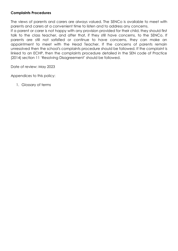#### **Complaints Procedures**

The views of parents and carers are always valued. The SENCo is available to meet with parents and carers at a convenient time to listen and to address any concerns.

If a parent or carer is not happy with any provision provided for their child, they should first talk to the class teacher, and after that, if they still have concerns, to the SENCo. If parents are still not satisfied or continue to have concerns, they can make an appointment to meet with the Head Teacher. If the concerns of parents remain unresolved then the school's complaints procedure should be followed. If the complaint is linked to an ECHP, then the complaints procedure detailed in the SEN code of Practice (2014) section 11 'Resolving Disagreement' should be followed.

Date of review: May 2023

Appendices to this policy:

1. Glossary of terms